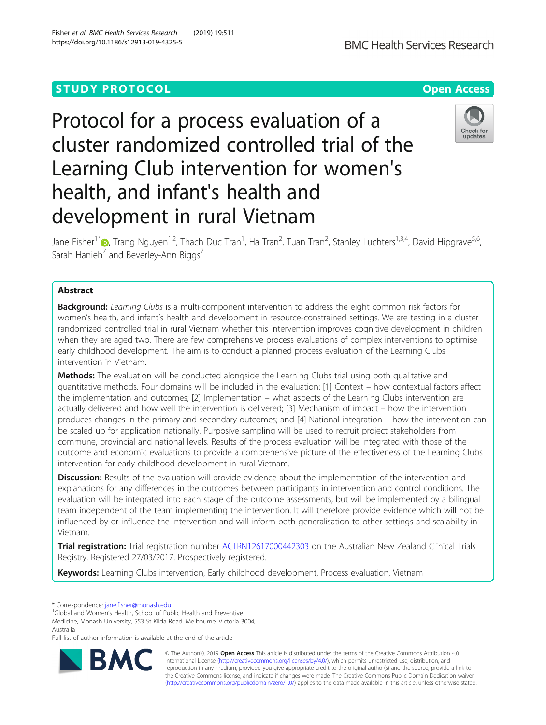# **STUDY PROTOCOL CONSUMING THE CONSUMING OPEN ACCESS**

# Protocol for a process evaluation of a cluster randomized controlled trial of the Learning Club intervention for women's health, and infant's health and development in rural Vietnam

Jane Fisher<sup>1\*</sup>®[,](http://orcid.org/0000-0002-1959-6807) Trang Nguyen<sup>1,2</sup>, Thach Duc Tran<sup>1</sup>, Ha Tran<sup>2</sup>, Tuan Tran<sup>2</sup>, Stanley Luchters<sup>1,3,4</sup>, David Hipgrave<sup>5,6</sup>, Sarah Hanieh<sup>7</sup> and Beverley-Ann Biggs<sup>7</sup>

# Abstract

**Background:** Learning Clubs is a multi-component intervention to address the eight common risk factors for women's health, and infant's health and development in resource-constrained settings. We are testing in a cluster randomized controlled trial in rural Vietnam whether this intervention improves cognitive development in children when they are aged two. There are few comprehensive process evaluations of complex interventions to optimise early childhood development. The aim is to conduct a planned process evaluation of the Learning Clubs intervention in Vietnam.

Methods: The evaluation will be conducted alongside the Learning Clubs trial using both qualitative and quantitative methods. Four domains will be included in the evaluation: [1] Context – how contextual factors affect the implementation and outcomes; [2] Implementation – what aspects of the Learning Clubs intervention are actually delivered and how well the intervention is delivered; [3] Mechanism of impact – how the intervention produces changes in the primary and secondary outcomes; and [4] National integration – how the intervention can be scaled up for application nationally. Purposive sampling will be used to recruit project stakeholders from commune, provincial and national levels. Results of the process evaluation will be integrated with those of the outcome and economic evaluations to provide a comprehensive picture of the effectiveness of the Learning Clubs intervention for early childhood development in rural Vietnam.

**Discussion:** Results of the evaluation will provide evidence about the implementation of the intervention and explanations for any differences in the outcomes between participants in intervention and control conditions. The evaluation will be integrated into each stage of the outcome assessments, but will be implemented by a bilingual team independent of the team implementing the intervention. It will therefore provide evidence which will not be influenced by or influence the intervention and will inform both generalisation to other settings and scalability in Vietnam.

Trial registration: Trial registration number [ACTRN12617000442303](https://www.anzctr.org.au/Trial/Registration/TrialReview.aspx?id=371066) on the Australian New Zealand Clinical Trials Registry. Registered 27/03/2017. Prospectively registered.

Keywords: Learning Clubs intervention, Early childhood development, Process evaluation, Vietnam

\* Correspondence: [jane.fisher@monash.edu](mailto:jane.fisher@monash.edu) <sup>1</sup>

<sup>1</sup>Global and Women's Health, School of Public Health and Preventive Medicine, Monash University, 553 St Kilda Road, Melbourne, Victoria 3004, Australia

Full list of author information is available at the end of the article



© The Author(s). 2019 Open Access This article is distributed under the terms of the Creative Commons Attribution 4.0 International License [\(http://creativecommons.org/licenses/by/4.0/](http://creativecommons.org/licenses/by/4.0/)), which permits unrestricted use, distribution, and reproduction in any medium, provided you give appropriate credit to the original author(s) and the source, provide a link to the Creative Commons license, and indicate if changes were made. The Creative Commons Public Domain Dedication waiver [\(http://creativecommons.org/publicdomain/zero/1.0/](http://creativecommons.org/publicdomain/zero/1.0/)) applies to the data made available in this article, unless otherwise stated.

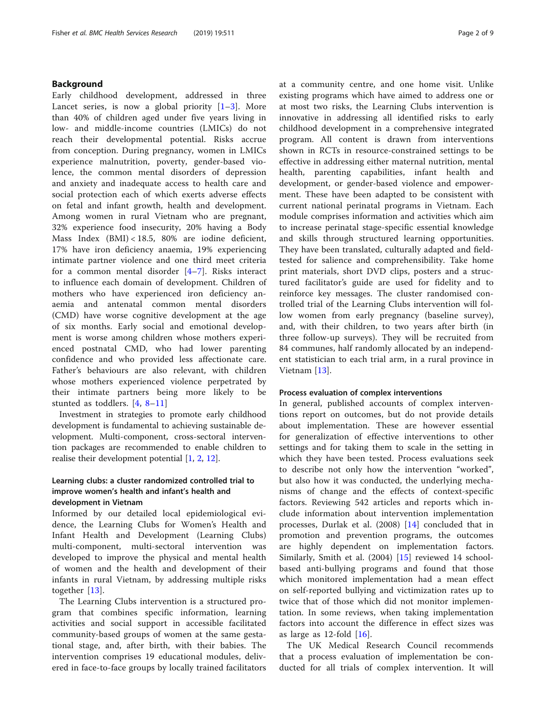#### Background

Early childhood development, addressed in three Lancet series, is now a global priority  $[1-3]$  $[1-3]$  $[1-3]$  $[1-3]$ . More than 40% of children aged under five years living in low- and middle-income countries (LMICs) do not reach their developmental potential. Risks accrue from conception. During pregnancy, women in LMICs experience malnutrition, poverty, gender-based violence, the common mental disorders of depression and anxiety and inadequate access to health care and social protection each of which exerts adverse effects on fetal and infant growth, health and development. Among women in rural Vietnam who are pregnant, 32% experience food insecurity, 20% having a Body Mass Index (BMI) < 18.5, 80% are iodine deficient, 17% have iron deficiency anaemia, 19% experiencing intimate partner violence and one third meet criteria for a common mental disorder [\[4](#page-7-0)–[7](#page-7-0)]. Risks interact to influence each domain of development. Children of mothers who have experienced iron deficiency anaemia and antenatal common mental disorders (CMD) have worse cognitive development at the age of six months. Early social and emotional development is worse among children whose mothers experienced postnatal CMD, who had lower parenting confidence and who provided less affectionate care. Father's behaviours are also relevant, with children whose mothers experienced violence perpetrated by their intimate partners being more likely to be stunted as toddlers. [\[4](#page-7-0), [8](#page-7-0)–[11\]](#page-7-0)

Investment in strategies to promote early childhood development is fundamental to achieving sustainable development. Multi-component, cross-sectoral intervention packages are recommended to enable children to realise their development potential [\[1](#page-7-0), [2](#page-7-0), [12\]](#page-7-0).

# Learning clubs: a cluster randomized controlled trial to improve women's health and infant's health and development in Vietnam

Informed by our detailed local epidemiological evidence, the Learning Clubs for Women's Health and Infant Health and Development (Learning Clubs) multi-component, multi-sectoral intervention was developed to improve the physical and mental health of women and the health and development of their infants in rural Vietnam, by addressing multiple risks together  $|13|$ .

The Learning Clubs intervention is a structured program that combines specific information, learning activities and social support in accessible facilitated community-based groups of women at the same gestational stage, and, after birth, with their babies. The intervention comprises 19 educational modules, delivered in face-to-face groups by locally trained facilitators at a community centre, and one home visit. Unlike existing programs which have aimed to address one or at most two risks, the Learning Clubs intervention is innovative in addressing all identified risks to early childhood development in a comprehensive integrated program. All content is drawn from interventions shown in RCTs in resource-constrained settings to be effective in addressing either maternal nutrition, mental health, parenting capabilities, infant health and development, or gender-based violence and empowerment. These have been adapted to be consistent with current national perinatal programs in Vietnam. Each module comprises information and activities which aim to increase perinatal stage-specific essential knowledge and skills through structured learning opportunities. They have been translated, culturally adapted and fieldtested for salience and comprehensibility. Take home print materials, short DVD clips, posters and a structured facilitator's guide are used for fidelity and to reinforce key messages. The cluster randomised controlled trial of the Learning Clubs intervention will follow women from early pregnancy (baseline survey), and, with their children, to two years after birth (in three follow-up surveys). They will be recruited from 84 communes, half randomly allocated by an independent statistician to each trial arm, in a rural province in Vietnam [\[13](#page-8-0)].

#### Process evaluation of complex interventions

In general, published accounts of complex interventions report on outcomes, but do not provide details about implementation. These are however essential for generalization of effective interventions to other settings and for taking them to scale in the setting in which they have been tested. Process evaluations seek to describe not only how the intervention "worked", but also how it was conducted, the underlying mechanisms of change and the effects of context-specific factors. Reviewing 542 articles and reports which include information about intervention implementation processes, Durlak et al. (2008) [\[14\]](#page-8-0) concluded that in promotion and prevention programs, the outcomes are highly dependent on implementation factors. Similarly, Smith et al. (2004) [[15\]](#page-8-0) reviewed 14 schoolbased anti-bullying programs and found that those which monitored implementation had a mean effect on self-reported bullying and victimization rates up to twice that of those which did not monitor implementation. In some reviews, when taking implementation factors into account the difference in effect sizes was as large as  $12$ -fold  $[16]$  $[16]$ .

The UK Medical Research Council recommends that a process evaluation of implementation be conducted for all trials of complex intervention. It will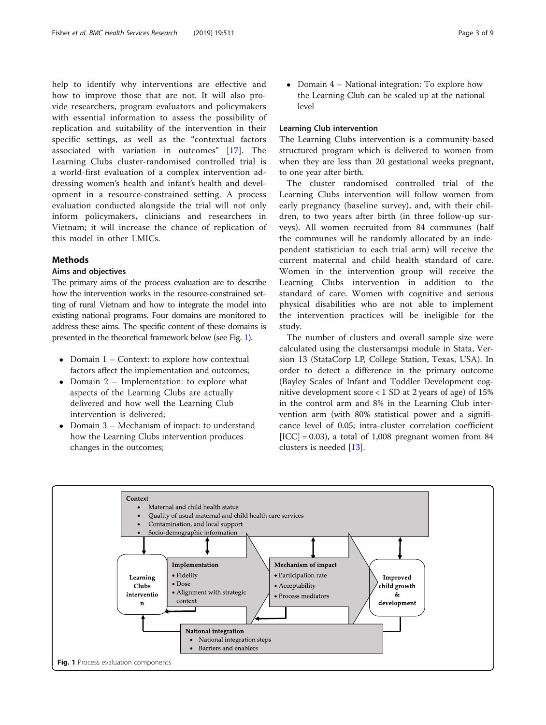help to identify why interventions are effective and how to improve those that are not. It will also provide researchers, program evaluators and policymakers with essential information to assess the possibility of replication and suitability of the intervention in their specific settings, as well as the "contextual factors associated with variation in outcomes" [\[17](#page-8-0)]. The Learning Clubs cluster-randomised controlled trial is a world-first evaluation of a complex intervention addressing women's health and infant's health and development in a resource-constrained setting. A process evaluation conducted alongside the trial will not only inform policymakers, clinicians and researchers in Vietnam; it will increase the chance of replication of this model in other LMICs.

# Methods

#### Aims and objectives

The primary aims of the process evaluation are to describe how the intervention works in the resource-constrained setting of rural Vietnam and how to integrate the model into existing national programs. Four domains are monitored to address these aims. The specific content of these domains is presented in the theoretical framework below (see Fig. 1).

- Domain  $1$  Context: to explore how contextual factors affect the implementation and outcomes;
- Domain 2 Implementation: to explore what aspects of the Learning Clubs are actually delivered and how well the Learning Club intervention is delivered;
- Domain 3 Mechanism of impact: to understand how the Learning Clubs intervention produces changes in the outcomes;

• Domain 4 – National integration: To explore how the Learning Club can be scaled up at the national level

## Learning Club intervention

The Learning Clubs intervention is a community-based structured program which is delivered to women from when they are less than 20 gestational weeks pregnant, to one year after birth.

The cluster randomised controlled trial of the Learning Clubs intervention will follow women from early pregnancy (baseline survey), and, with their children, to two years after birth (in three follow-up surveys). All women recruited from 84 communes (half the communes will be randomly allocated by an independent statistician to each trial arm) will receive the current maternal and child health standard of care. Women in the intervention group will receive the Learning Clubs intervention in addition to the standard of care. Women with cognitive and serious physical disabilities who are not able to implement the intervention practices will be ineligible for the study.

The number of clusters and overall sample size were calculated using the clustersampsi module in Stata, Version 13 (StataCorp LP, College Station, Texas, USA). In order to detect a difference in the primary outcome (Bayley Scales of Infant and Toddler Development cognitive development score < 1 SD at 2 years of age) of 15% in the control arm and 8% in the Learning Club intervention arm (with 80% statistical power and a significance level of 0.05; intra-cluster correlation coefficient  $[ICC] = 0.03$ , a total of 1,008 pregnant women from 84 clusters is needed [\[13](#page-8-0)].

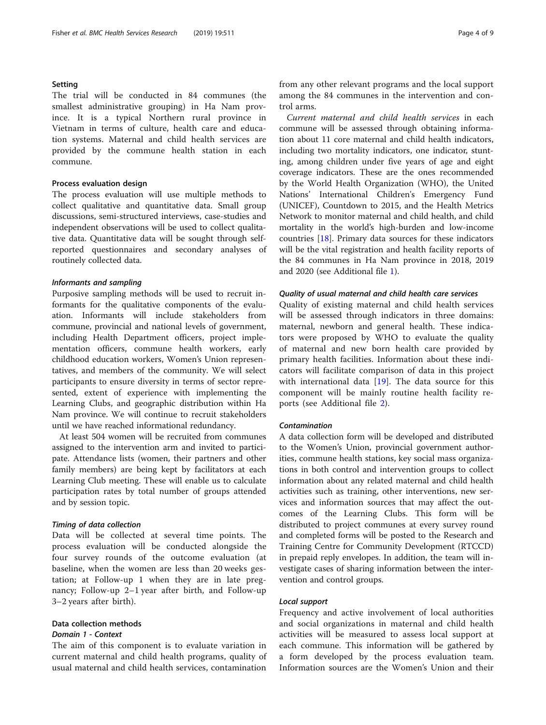#### Setting

The trial will be conducted in 84 communes (the smallest administrative grouping) in Ha Nam province. It is a typical Northern rural province in Vietnam in terms of culture, health care and education systems. Maternal and child health services are provided by the commune health station in each commune.

## Process evaluation design

The process evaluation will use multiple methods to collect qualitative and quantitative data. Small group discussions, semi-structured interviews, case-studies and independent observations will be used to collect qualitative data. Quantitative data will be sought through selfreported questionnaires and secondary analyses of routinely collected data.

#### Informants and sampling

Purposive sampling methods will be used to recruit informants for the qualitative components of the evaluation. Informants will include stakeholders from commune, provincial and national levels of government, including Health Department officers, project implementation officers, commune health workers, early childhood education workers, Women's Union representatives, and members of the community. We will select participants to ensure diversity in terms of sector represented, extent of experience with implementing the Learning Clubs, and geographic distribution within Ha Nam province. We will continue to recruit stakeholders until we have reached informational redundancy.

At least 504 women will be recruited from communes assigned to the intervention arm and invited to participate. Attendance lists (women, their partners and other family members) are being kept by facilitators at each Learning Club meeting. These will enable us to calculate participation rates by total number of groups attended and by session topic.

#### Timing of data collection

Data will be collected at several time points. The process evaluation will be conducted alongside the four survey rounds of the outcome evaluation (at baseline, when the women are less than 20 weeks gestation; at Follow-up 1 when they are in late pregnancy; Follow-up 2–1 year after birth, and Follow-up 3–2 years after birth).

#### Data collection methods

## Domain 1 - Context

The aim of this component is to evaluate variation in current maternal and child health programs, quality of usual maternal and child health services, contamination from any other relevant programs and the local support among the 84 communes in the intervention and control arms.

Current maternal and child health services in each commune will be assessed through obtaining information about 11 core maternal and child health indicators, including two mortality indicators, one indicator, stunting, among children under five years of age and eight coverage indicators. These are the ones recommended by the World Health Organization (WHO), the United Nations' International Children's Emergency Fund (UNICEF), Countdown to 2015, and the Health Metrics Network to monitor maternal and child health, and child mortality in the world's high-burden and low-income countries [\[18](#page-8-0)]. Primary data sources for these indicators will be the vital registration and health facility reports of the 84 communes in Ha Nam province in 2018, 2019 and 2020 (see Additional file [1](#page-7-0)).

#### Quality of usual maternal and child health care services

Quality of existing maternal and child health services will be assessed through indicators in three domains: maternal, newborn and general health. These indicators were proposed by WHO to evaluate the quality of maternal and new born health care provided by primary health facilities. Information about these indicators will facilitate comparison of data in this project with international data  $[19]$  $[19]$ . The data source for this component will be mainly routine health facility reports (see Additional file [2\)](#page-7-0).

#### Contamination

A data collection form will be developed and distributed to the Women's Union, provincial government authorities, commune health stations, key social mass organizations in both control and intervention groups to collect information about any related maternal and child health activities such as training, other interventions, new services and information sources that may affect the outcomes of the Learning Clubs. This form will be distributed to project communes at every survey round and completed forms will be posted to the Research and Training Centre for Community Development (RTCCD) in prepaid reply envelopes. In addition, the team will investigate cases of sharing information between the intervention and control groups.

#### Local support

Frequency and active involvement of local authorities and social organizations in maternal and child health activities will be measured to assess local support at each commune. This information will be gathered by a form developed by the process evaluation team. Information sources are the Women's Union and their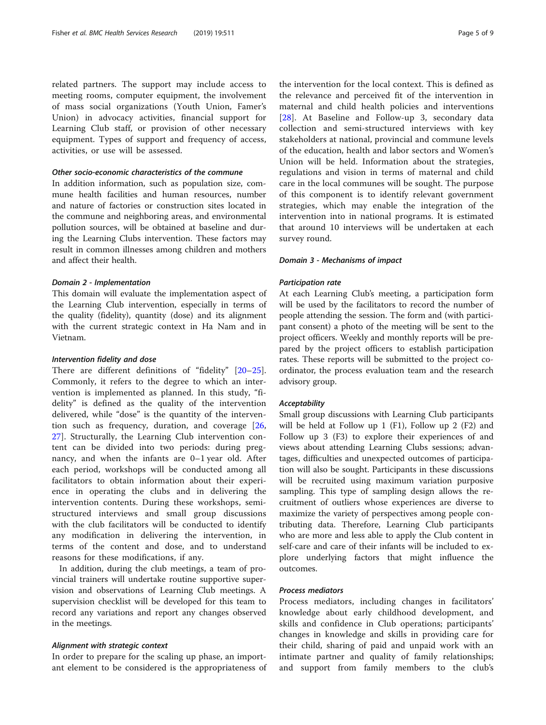related partners. The support may include access to meeting rooms, computer equipment, the involvement of mass social organizations (Youth Union, Famer's Union) in advocacy activities, financial support for Learning Club staff, or provision of other necessary equipment. Types of support and frequency of access, activities, or use will be assessed.

#### Other socio-economic characteristics of the commune

In addition information, such as population size, commune health facilities and human resources, number and nature of factories or construction sites located in the commune and neighboring areas, and environmental pollution sources, will be obtained at baseline and during the Learning Clubs intervention. These factors may result in common illnesses among children and mothers and affect their health.

#### Domain 2 - Implementation

This domain will evaluate the implementation aspect of the Learning Club intervention, especially in terms of the quality (fidelity), quantity (dose) and its alignment with the current strategic context in Ha Nam and in Vietnam.

#### Intervention fidelity and dose

There are different definitions of "fidelity" [\[20](#page-8-0)–[25](#page-8-0)]. Commonly, it refers to the degree to which an intervention is implemented as planned. In this study, "fidelity" is defined as the quality of the intervention delivered, while "dose" is the quantity of the intervention such as frequency, duration, and coverage [\[26](#page-8-0), [27\]](#page-8-0). Structurally, the Learning Club intervention content can be divided into two periods: during pregnancy, and when the infants are 0–1 year old. After each period, workshops will be conducted among all facilitators to obtain information about their experience in operating the clubs and in delivering the intervention contents. During these workshops, semistructured interviews and small group discussions with the club facilitators will be conducted to identify any modification in delivering the intervention, in terms of the content and dose, and to understand reasons for these modifications, if any.

In addition, during the club meetings, a team of provincial trainers will undertake routine supportive supervision and observations of Learning Club meetings. A supervision checklist will be developed for this team to record any variations and report any changes observed in the meetings.

#### Alignment with strategic context

In order to prepare for the scaling up phase, an important element to be considered is the appropriateness of

the intervention for the local context. This is defined as the relevance and perceived fit of the intervention in maternal and child health policies and interventions [[28\]](#page-8-0). At Baseline and Follow-up 3, secondary data collection and semi-structured interviews with key stakeholders at national, provincial and commune levels of the education, health and labor sectors and Women's Union will be held. Information about the strategies, regulations and vision in terms of maternal and child care in the local communes will be sought. The purpose of this component is to identify relevant government strategies, which may enable the integration of the intervention into in national programs. It is estimated that around 10 interviews will be undertaken at each survey round.

#### Domain 3 - Mechanisms of impact

#### Participation rate

At each Learning Club's meeting, a participation form will be used by the facilitators to record the number of people attending the session. The form and (with participant consent) a photo of the meeting will be sent to the project officers. Weekly and monthly reports will be prepared by the project officers to establish participation rates. These reports will be submitted to the project coordinator, the process evaluation team and the research advisory group.

#### Acceptability

Small group discussions with Learning Club participants will be held at Follow up 1 (F1), Follow up 2 (F2) and Follow up 3 (F3) to explore their experiences of and views about attending Learning Clubs sessions; advantages, difficulties and unexpected outcomes of participation will also be sought. Participants in these discussions will be recruited using maximum variation purposive sampling. This type of sampling design allows the recruitment of outliers whose experiences are diverse to maximize the variety of perspectives among people contributing data. Therefore, Learning Club participants who are more and less able to apply the Club content in self-care and care of their infants will be included to explore underlying factors that might influence the outcomes.

#### Process mediators

Process mediators, including changes in facilitators' knowledge about early childhood development, and skills and confidence in Club operations; participants' changes in knowledge and skills in providing care for their child, sharing of paid and unpaid work with an intimate partner and quality of family relationships; and support from family members to the club's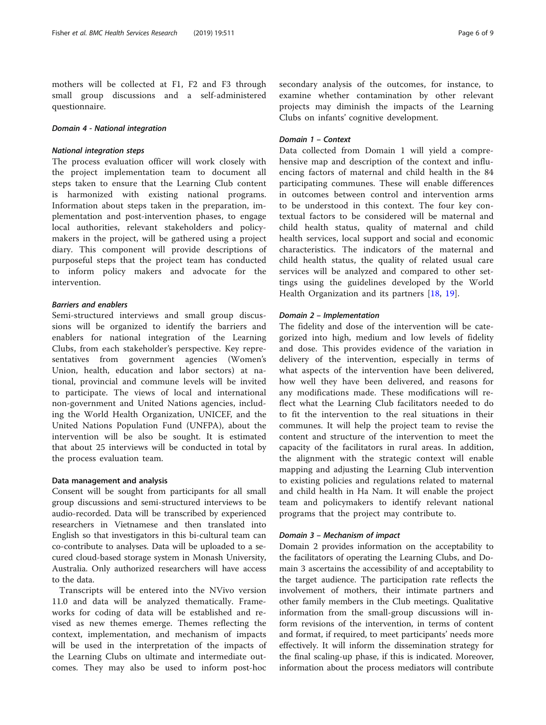mothers will be collected at F1, F2 and F3 through small group discussions and a self-administered questionnaire.

#### Domain 4 - National integration

#### National integration steps

The process evaluation officer will work closely with the project implementation team to document all steps taken to ensure that the Learning Club content is harmonized with existing national programs. Information about steps taken in the preparation, implementation and post-intervention phases, to engage local authorities, relevant stakeholders and policymakers in the project, will be gathered using a project diary. This component will provide descriptions of purposeful steps that the project team has conducted to inform policy makers and advocate for the intervention.

#### Barriers and enablers

Semi-structured interviews and small group discussions will be organized to identify the barriers and enablers for national integration of the Learning Clubs, from each stakeholder's perspective. Key representatives from government agencies (Women's Union, health, education and labor sectors) at national, provincial and commune levels will be invited to participate. The views of local and international non-government and United Nations agencies, including the World Health Organization, UNICEF, and the United Nations Population Fund (UNFPA), about the intervention will be also be sought. It is estimated that about 25 interviews will be conducted in total by the process evaluation team.

#### Data management and analysis

Consent will be sought from participants for all small group discussions and semi-structured interviews to be audio-recorded. Data will be transcribed by experienced researchers in Vietnamese and then translated into English so that investigators in this bi-cultural team can co-contribute to analyses. Data will be uploaded to a secured cloud-based storage system in Monash University, Australia. Only authorized researchers will have access to the data.

Transcripts will be entered into the NVivo version 11.0 and data will be analyzed thematically. Frameworks for coding of data will be established and revised as new themes emerge. Themes reflecting the context, implementation, and mechanism of impacts will be used in the interpretation of the impacts of the Learning Clubs on ultimate and intermediate outcomes. They may also be used to inform post-hoc secondary analysis of the outcomes, for instance, to examine whether contamination by other relevant projects may diminish the impacts of the Learning Clubs on infants' cognitive development.

#### Domain 1 – Context

Data collected from Domain 1 will yield a comprehensive map and description of the context and influencing factors of maternal and child health in the 84 participating communes. These will enable differences in outcomes between control and intervention arms to be understood in this context. The four key contextual factors to be considered will be maternal and child health status, quality of maternal and child health services, local support and social and economic characteristics. The indicators of the maternal and child health status, the quality of related usual care services will be analyzed and compared to other settings using the guidelines developed by the World Health Organization and its partners [[18,](#page-8-0) [19\]](#page-8-0).

#### Domain 2 – Implementation

The fidelity and dose of the intervention will be categorized into high, medium and low levels of fidelity and dose. This provides evidence of the variation in delivery of the intervention, especially in terms of what aspects of the intervention have been delivered, how well they have been delivered, and reasons for any modifications made. These modifications will reflect what the Learning Club facilitators needed to do to fit the intervention to the real situations in their communes. It will help the project team to revise the content and structure of the intervention to meet the capacity of the facilitators in rural areas. In addition, the alignment with the strategic context will enable mapping and adjusting the Learning Club intervention to existing policies and regulations related to maternal and child health in Ha Nam. It will enable the project team and policymakers to identify relevant national programs that the project may contribute to.

#### Domain 3 – Mechanism of impact

Domain 2 provides information on the acceptability to the facilitators of operating the Learning Clubs, and Domain 3 ascertains the accessibility of and acceptability to the target audience. The participation rate reflects the involvement of mothers, their intimate partners and other family members in the Club meetings. Qualitative information from the small-group discussions will inform revisions of the intervention, in terms of content and format, if required, to meet participants' needs more effectively. It will inform the dissemination strategy for the final scaling-up phase, if this is indicated. Moreover, information about the process mediators will contribute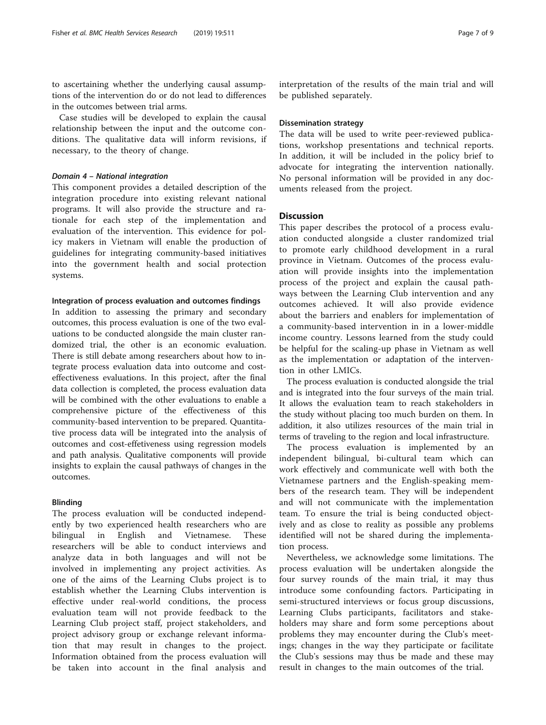to ascertaining whether the underlying causal assumptions of the intervention do or do not lead to differences in the outcomes between trial arms.

Case studies will be developed to explain the causal relationship between the input and the outcome conditions. The qualitative data will inform revisions, if necessary, to the theory of change.

#### Domain 4 – National integration

This component provides a detailed description of the integration procedure into existing relevant national programs. It will also provide the structure and rationale for each step of the implementation and evaluation of the intervention. This evidence for policy makers in Vietnam will enable the production of guidelines for integrating community-based initiatives into the government health and social protection systems.

#### Integration of process evaluation and outcomes findings

In addition to assessing the primary and secondary outcomes, this process evaluation is one of the two evaluations to be conducted alongside the main cluster randomized trial, the other is an economic evaluation. There is still debate among researchers about how to integrate process evaluation data into outcome and costeffectiveness evaluations. In this project, after the final data collection is completed, the process evaluation data will be combined with the other evaluations to enable a comprehensive picture of the effectiveness of this community-based intervention to be prepared. Quantitative process data will be integrated into the analysis of outcomes and cost-effetiveness using regression models and path analysis. Qualitative components will provide insights to explain the causal pathways of changes in the outcomes.

#### Blinding

The process evaluation will be conducted independently by two experienced health researchers who are bilingual in English and Vietnamese. These researchers will be able to conduct interviews and analyze data in both languages and will not be involved in implementing any project activities. As one of the aims of the Learning Clubs project is to establish whether the Learning Clubs intervention is effective under real-world conditions, the process evaluation team will not provide feedback to the Learning Club project staff, project stakeholders, and project advisory group or exchange relevant information that may result in changes to the project. Information obtained from the process evaluation will be taken into account in the final analysis and interpretation of the results of the main trial and will be published separately.

#### Dissemination strategy

The data will be used to write peer-reviewed publications, workshop presentations and technical reports. In addition, it will be included in the policy brief to advocate for integrating the intervention nationally. No personal information will be provided in any documents released from the project.

#### **Discussion**

This paper describes the protocol of a process evaluation conducted alongside a cluster randomized trial to promote early childhood development in a rural province in Vietnam. Outcomes of the process evaluation will provide insights into the implementation process of the project and explain the causal pathways between the Learning Club intervention and any outcomes achieved. It will also provide evidence about the barriers and enablers for implementation of a community-based intervention in in a lower-middle income country. Lessons learned from the study could be helpful for the scaling-up phase in Vietnam as well as the implementation or adaptation of the intervention in other LMICs.

The process evaluation is conducted alongside the trial and is integrated into the four surveys of the main trial. It allows the evaluation team to reach stakeholders in the study without placing too much burden on them. In addition, it also utilizes resources of the main trial in terms of traveling to the region and local infrastructure.

The process evaluation is implemented by an independent bilingual, bi-cultural team which can work effectively and communicate well with both the Vietnamese partners and the English-speaking members of the research team. They will be independent and will not communicate with the implementation team. To ensure the trial is being conducted objectively and as close to reality as possible any problems identified will not be shared during the implementation process.

Nevertheless, we acknowledge some limitations. The process evaluation will be undertaken alongside the four survey rounds of the main trial, it may thus introduce some confounding factors. Participating in semi-structured interviews or focus group discussions, Learning Clubs participants, facilitators and stakeholders may share and form some perceptions about problems they may encounter during the Club's meetings; changes in the way they participate or facilitate the Club's sessions may thus be made and these may result in changes to the main outcomes of the trial.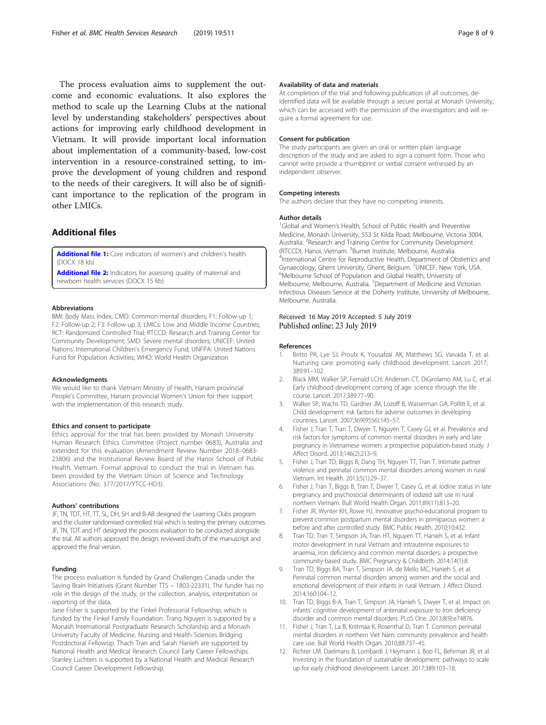<span id="page-7-0"></span>The process evaluation aims to supplement the outcome and economic evaluations. It also explores the method to scale up the Learning Clubs at the national level by understanding stakeholders' perspectives about actions for improving early childhood development in Vietnam. It will provide important local information about implementation of a community-based, low-cost intervention in a resource-constrained setting, to improve the development of young children and respond to the needs of their caregivers. It will also be of significant importance to the replication of the program in other LMICs.

## Additional files

[Additional file 1:](https://doi.org/10.1186/s12913-019-4325-5) Core indicators of women's and children's health (DOCX 18 kb)

[Additional file 2:](https://doi.org/10.1186/s12913-019-4325-5) Indicators for assessing quality of maternal and newborn health services (DOCX 15 kb)

#### Abbreviations

BMI: Body Mass Index; CMD: Common mental disorders; F1: Follow-up 1; F2: Follow-up 2; F3: Follow-up 3; LMICs: Low and Middle Income Countries; RCT: Randomized Controlled Trial; RTCCD: Research and Training Center for Community Development; SMD: Severe mental disorders; UNICEF: United Nations' International Children's Emergency Fund; UNFPA: United Nations Fund for Population Activities; WHO: World Health Organization

#### Acknowledgments

We would like to thank Vietnam Ministry of Health, Hanam provincial People's Committee, Hanam provincial Women's Union for their support with the implementation of this research study.

#### Ethics and consent to participate

Ethics approval for the trial has been provided by Monash University Human Research Ethics Committee (Project number 0683), Australia and extended for this evaluation (Amendment Review Number 2018–0683- 23806) and the Institutional Review Board of the Hanoi School of Public Health, Vietnam. Formal approval to conduct the trial in Vietnam has been provided by the Vietnam Union of Science and Technology Associations (No. 377/2017/YTCC-HD3).

#### Authors' contributions

JF, TN, TDT, HT, TT, SL, DH, SH and B-AB designed the Learning Clubs program and the cluster randomised controlled trial which is testing the primary outcomes. JF, TN, TDT and HT designed the process evaluation to be conducted alongside the trial. All authors approved the design, reviewed drafts of the manuscript and approved the final version.

#### Funding

The process evaluation is funded by Grand Challenges Canada under the Saving Brain Initiatives (Grant Number TTS – 1803-22331). The funder has no role in the design of the study, or the collection, analysis, interpretation or reporting of the data.

Jane Fisher is supported by the Finkel Professorial Fellowship, which is funded by the Finkel Family Foundation. Trang Nguyen is supported by a Monash International Postgraduate Research Scholarship and a Monash University Faculty of Medicine, Nursing and Health Sciences Bridging Postdoctoral Fellowsip. Thach Tran and Sarah Hanieh are supported by National Health and Medical Research Council Early Career Fellowships. Stanley Luchters is supported by a National Health and Medical Research Council Career Development Fellowship.

#### Availability of data and materials

At completion of the trial and following publication of all outcomes, deidentified data will be available through a secure portal at Monash University, which can be accessed with the permission of the investigators and will require a formal agreement for use.

#### Consent for publication

The study participants are given an oral or written plain language description of the study and are asked to sign a consent form. Those who cannot write provide a thumbprint or verbal consent witnessed by an independent observer.

#### Competing interests

The authors declare that they have no competing interests.

#### Author details

<sup>1</sup>Global and Women's Health, School of Public Health and Preventive Medicine, Monash University, 553 St Kilda Road, Melbourne, Victoria 3004, Australia. <sup>2</sup>Research and Training Centre for Community Development (RTCCD), Hanoi, Vietnam. <sup>3</sup>Burnet Institute, Melbourne, Australia.<br><sup>4</sup>International Contre for Penroductive Hoalth, Department of O <sup>4</sup>International Centre for Reproductive Health, Department of Obstetrics and Gynaecology, Ghent University, Ghent, Belgium. <sup>5</sup>UNICEF, New York, USA.<br><sup>6</sup>Melbourne School of Population and Global Hoalth University of <sup>6</sup>Melbourne School of Population and Global Health, University of Melbourne, Melbourne, Australia. <sup>7</sup> Department of Medicine and Victorian Infectious Diseases Service at the Doherty Institute, University of Melbourne, Melbourne, Australia.

#### Received: 16 May 2019 Accepted: 5 July 2019 Published online: 23 July 2019

#### References

- Britto PR, Lye SJ, Proulx K, Yousafzai AK, Matthews SG, Vaivada T, et al. Nurturing care: promoting early childhood development. Lancet. 2017; 389:91–102.
- 2. Black MM, Walker SP, Fernald LCH, Andersen CT, DiGirolamo AM, Lu C, et al. Early childhood development coming of age: science through the life course. Lancet. 2017;389:77–90.
- 3. Walker SP, Wachs TD, Gardner JM, Lozoff B, Wasserman GA, Pollitt E, et al. Child development: risk factors for adverse outcomes in developing countries. Lancet. 2007;369(9556):145–57.
- 4. Fisher J, Tran T, Tran T, Dwyer T, Nguyen T, Casey GJ, et al. Prevalence and risk factors for symptoms of common mental disorders in early and late pregnancy in Vietnamese women: a prospective population-based study. J Affect Disord. 2013;146(2):213–9.
- 5. Fisher J, Tran TD, Biggs B, Dang TH, Nguyen TT, Tran T. Intimate partner violence and perinatal common mental disorders among women in rural Vietnam. Int Health. 2013;5(1):29–37.
- 6. Fisher J, Tran T, Biggs B, Tran T, Dwyer T, Casey G, et al. Iodine status in late pregnancy and psychosocial determinants of iodized salt use in rural northern Vietnam. Bull World Health Organ. 2011;89(11):813–20.
- Fisher JR, Wynter KH, Rowe HJ. Innovative psycho-educational program to prevent common postpartum mental disorders in primiparous women: a before and after controlled study. BMC Public Health. 2010;10:432.
- Tran TD, Tran T, Simpson JA, Tran HT, Nguyen TT, Hanieh S, et al. Infant motor development in rural Vietnam and intrauterine exposures to anaemia, iron deficiency and common mental disorders: a prospective community-based study. BMC Pregnancy & Childbirth. 2014;14(1):8.
- 9. Tran TD, Biggs BA, Tran T, Simpson JA, de Mello MC, Hanieh S, et al. Perinatal common mental disorders among women and the social and emotional development of their infants in rural Vietnam. J Affect Disord. 2014;160:104–12.
- 10. Tran TD, Biggs B-A, Tran T, Simpson JA, Hanieh S, Dwyer T, et al. Impact on infants' cognitive development of antenatal exposure to Iron deficiency disorder and common mental disorders. PLoS One. 2013;8(9):e74876.
- 11. Fisher J, Tran T, La B, Kriitmaa K, Rosenthal D, Tran T. Common perinatal mental disorders in northern Viet Nam: community prevalence and health care use. Bull World Health Organ. 2010;88:737–45.
- 12. Richter LM, Daelmans B, Lombardi J, Heymann J, Boo FL, Behrman JR, et al. Investing in the foundation of sustainable development: pathways to scale up for early childhood development. Lancet. 2017;389:103–18.